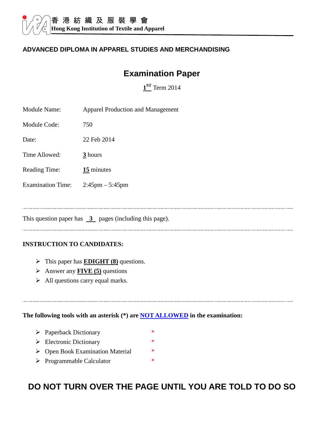#### **ADVANCED DIPLOMA IN APPAREL STUDIES AND MERCHANDISING**

# **Examination Paper**

**1 ST** Term 2014

| <b>Module Name:</b>      | <b>Apparel Production and Management</b> |
|--------------------------|------------------------------------------|
| Module Code:             | 750                                      |
| Date:                    | 22 Feb 2014                              |
| Time Allowed:            | 3 hours                                  |
| <b>Reading Time:</b>     | 15 minutes                               |
| <b>Examination Time:</b> | $2:45 \text{pm} - 5:45 \text{pm}$        |
|                          |                                          |
|                          |                                          |

This question paper has  $\overline{3}$  pages (including this page).

#### **INSTRUCTION TO CANDIDATES:**

- > This paper has **EDIGHT (8)** questions.
- Answer any **FIVE (5)** questions
- $\triangleright$  All questions carry equal marks.

**The following tools with an asterisk (\*) are NOT ALLOWED in the examination:** 

- > Paperback Dictionary \*
- $\triangleright$  Electronic Dictionary \*
- ▶ Open Book Examination Material \*
- > Programmable Calculator \*

# **DO NOT TURN OVER THE PAGE UNTIL YOU ARE TOLD TO DO SO**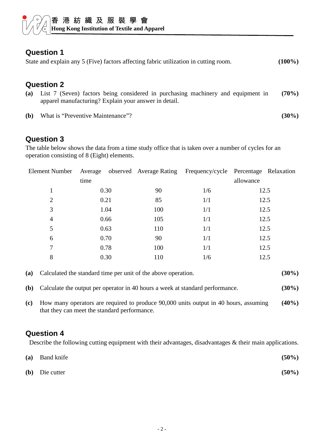## **Question 1**

|  |  | State and explain any 5 (Five) factors affecting fabric utilization in cutting room. |  | $(100\%)$ |
|--|--|--------------------------------------------------------------------------------------|--|-----------|
|--|--|--------------------------------------------------------------------------------------|--|-----------|

#### **Question 2**

- **(a)** List 7 (Seven) factors being considered in purchasing machinery and equipment in apparel manufacturing? Explain your answer in detail. **(70%)**
- **(b)** What is "Preventive Maintenance"? **(30%)**

#### **Question 3**

The table below shows the data from a time study office that is taken over a number of cycles for an operation consisting of 8 (Eight) elements.

| <b>Element Number</b> |      |      |     |     | Average observed Average Rating Frequency/cycle Percentage Relaxation |  |
|-----------------------|------|------|-----|-----|-----------------------------------------------------------------------|--|
|                       | time |      |     |     | allowance                                                             |  |
| 1                     |      | 0.30 | 90  | 1/6 | 12.5                                                                  |  |
| $\overline{2}$        |      | 0.21 | 85  | 1/1 | 12.5                                                                  |  |
| 3                     |      | 1.04 | 100 | 1/1 | 12.5                                                                  |  |
| $\overline{4}$        |      | 0.66 | 105 | 1/1 | 12.5                                                                  |  |
| 5                     |      | 0.63 | 110 | 1/1 | 12.5                                                                  |  |
| 6                     |      | 0.70 | 90  | 1/1 | 12.5                                                                  |  |
| 7                     |      | 0.78 | 100 | 1/1 | 12.5                                                                  |  |
| 8                     |      | 0.30 | 110 | 1/6 | 12.5                                                                  |  |
|                       |      |      |     |     |                                                                       |  |

| (a) Calculated the standard time per unit of the above operation. | $(30\%)$ |
|-------------------------------------------------------------------|----------|
|                                                                   |          |

- **(b)** Calculate the output per operator in 40 hours a week at standard performance. **(30%)**
- **(c)** How many operators are required to produce 90,000 units output in 40 hours, assuming that they can meet the standard performance. **(40%)**

#### **Question 4**

Describe the following cutting equipment with their advantages, disadvantages & their main applications.

| (a) Band knife   | $(50\%)$ |
|------------------|----------|
| $(b)$ Die cutter | $(50\%)$ |